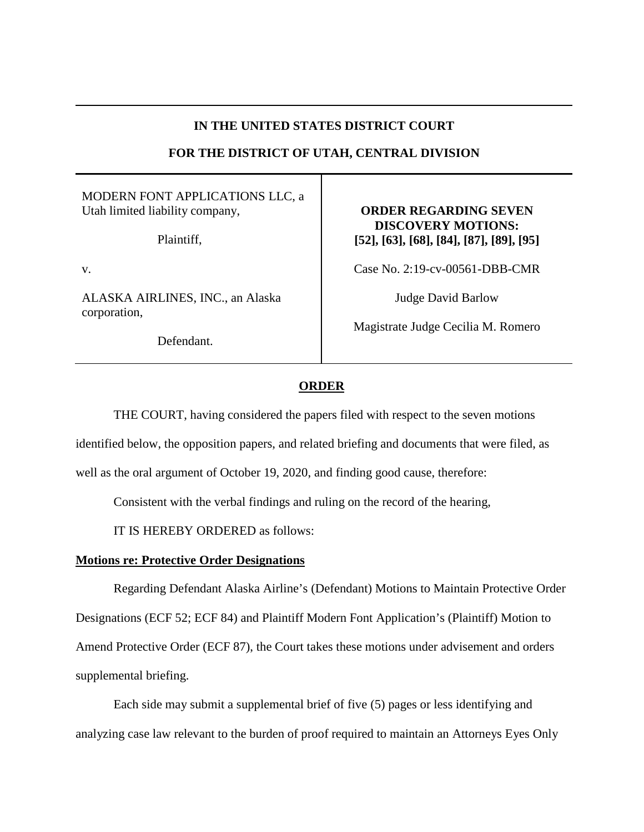## **IN THE UNITED STATES DISTRICT COURT**

# **FOR THE DISTRICT OF UTAH, CENTRAL DIVISION**

### MODERN FONT APPLICATIONS LLC, a Utah limited liability company,

Plaintiff,

v.

ALASKA AIRLINES, INC., an Alaska corporation,

Defendant.

## **ORDER REGARDING SEVEN DISCOVERY MOTIONS: [52], [63], [68], [84], [87], [89], [95]**

Case No. 2:19-cv-00561-DBB-CMR

Judge David Barlow

Magistrate Judge Cecilia M. Romero

# **ORDER**

THE COURT, having considered the papers filed with respect to the seven motions

identified below, the opposition papers, and related briefing and documents that were filed, as

well as the oral argument of October 19, 2020, and finding good cause, therefore:

Consistent with the verbal findings and ruling on the record of the hearing,

IT IS HEREBY ORDERED as follows:

### **Motions re: Protective Order Designations**

Regarding Defendant Alaska Airline's (Defendant) Motions to Maintain Protective Order Designations (ECF 52; ECF 84) and Plaintiff Modern Font Application's (Plaintiff) Motion to Amend Protective Order (ECF 87), the Court takes these motions under advisement and orders supplemental briefing.

Each side may submit a supplemental brief of five (5) pages or less identifying and analyzing case law relevant to the burden of proof required to maintain an Attorneys Eyes Only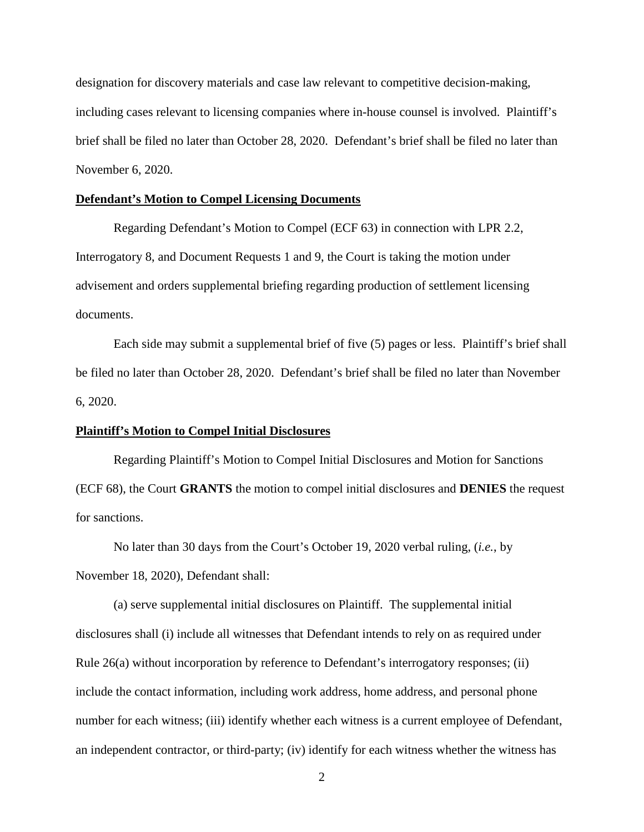designation for discovery materials and case law relevant to competitive decision-making, including cases relevant to licensing companies where in-house counsel is involved. Plaintiff's brief shall be filed no later than October 28, 2020. Defendant's brief shall be filed no later than November 6, 2020.

### **Defendant's Motion to Compel Licensing Documents**

Regarding Defendant's Motion to Compel (ECF 63) in connection with LPR 2.2, Interrogatory 8, and Document Requests 1 and 9, the Court is taking the motion under advisement and orders supplemental briefing regarding production of settlement licensing documents.

Each side may submit a supplemental brief of five (5) pages or less. Plaintiff's brief shall be filed no later than October 28, 2020. Defendant's brief shall be filed no later than November 6, 2020.

#### **Plaintiff's Motion to Compel Initial Disclosures**

Regarding Plaintiff's Motion to Compel Initial Disclosures and Motion for Sanctions (ECF 68), the Court **GRANTS** the motion to compel initial disclosures and **DENIES** the request for sanctions.

No later than 30 days from the Court's October 19, 2020 verbal ruling, (*i.e.*, by November 18, 2020), Defendant shall:

(a) serve supplemental initial disclosures on Plaintiff. The supplemental initial disclosures shall (i) include all witnesses that Defendant intends to rely on as required under Rule 26(a) without incorporation by reference to Defendant's interrogatory responses; (ii) include the contact information, including work address, home address, and personal phone number for each witness; (iii) identify whether each witness is a current employee of Defendant, an independent contractor, or third-party; (iv) identify for each witness whether the witness has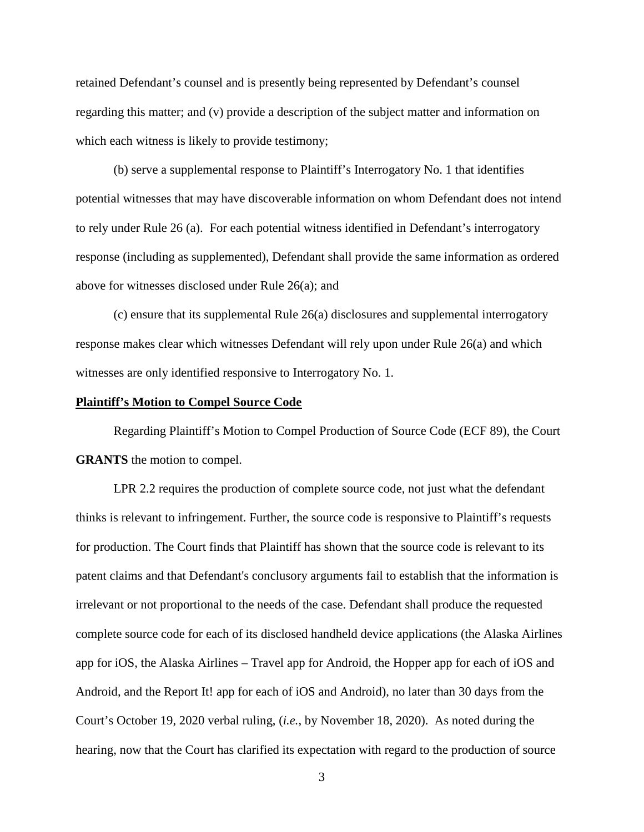retained Defendant's counsel and is presently being represented by Defendant's counsel regarding this matter; and (v) provide a description of the subject matter and information on which each witness is likely to provide testimony;

(b) serve a supplemental response to Plaintiff's Interrogatory No. 1 that identifies potential witnesses that may have discoverable information on whom Defendant does not intend to rely under Rule 26 (a). For each potential witness identified in Defendant's interrogatory response (including as supplemented), Defendant shall provide the same information as ordered above for witnesses disclosed under Rule 26(a); and

(c) ensure that its supplemental Rule 26(a) disclosures and supplemental interrogatory response makes clear which witnesses Defendant will rely upon under Rule 26(a) and which witnesses are only identified responsive to Interrogatory No. 1.

#### **Plaintiff's Motion to Compel Source Code**

Regarding Plaintiff's Motion to Compel Production of Source Code (ECF 89), the Court **GRANTS** the motion to compel.

LPR 2.2 requires the production of complete source code, not just what the defendant thinks is relevant to infringement. Further, the source code is responsive to Plaintiff's requests for production. The Court finds that Plaintiff has shown that the source code is relevant to its patent claims and that Defendant's conclusory arguments fail to establish that the information is irrelevant or not proportional to the needs of the case. Defendant shall produce the requested complete source code for each of its disclosed handheld device applications (the Alaska Airlines app for iOS, the Alaska Airlines – Travel app for Android, the Hopper app for each of iOS and Android, and the Report It! app for each of iOS and Android), no later than 30 days from the Court's October 19, 2020 verbal ruling, (*i.e.*, by November 18, 2020). As noted during the hearing, now that the Court has clarified its expectation with regard to the production of source

3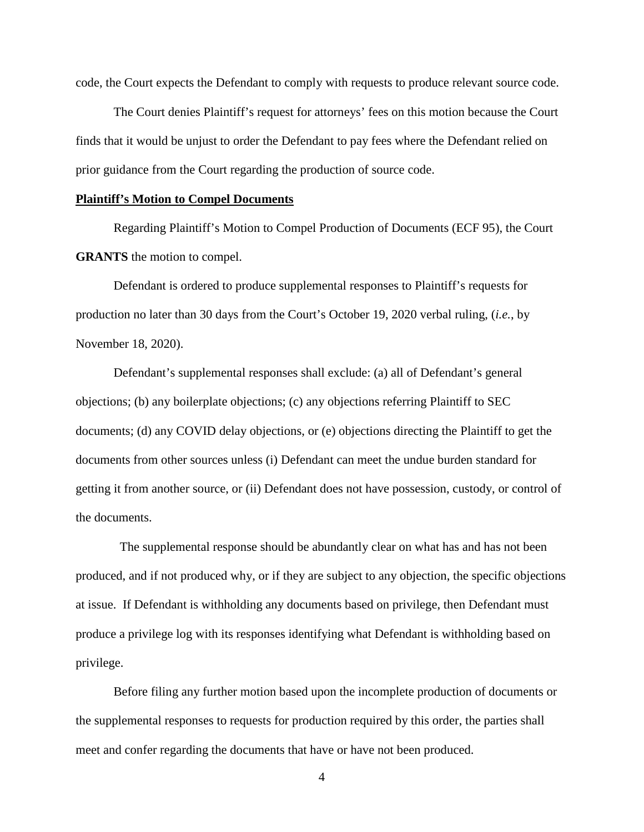code, the Court expects the Defendant to comply with requests to produce relevant source code.

The Court denies Plaintiff's request for attorneys' fees on this motion because the Court finds that it would be unjust to order the Defendant to pay fees where the Defendant relied on prior guidance from the Court regarding the production of source code.

#### **Plaintiff's Motion to Compel Documents**

Regarding Plaintiff's Motion to Compel Production of Documents (ECF 95), the Court **GRANTS** the motion to compel.

Defendant is ordered to produce supplemental responses to Plaintiff's requests for production no later than 30 days from the Court's October 19, 2020 verbal ruling, (*i.e.*, by November 18, 2020).

Defendant's supplemental responses shall exclude: (a) all of Defendant's general objections; (b) any boilerplate objections; (c) any objections referring Plaintiff to SEC documents; (d) any COVID delay objections, or (e) objections directing the Plaintiff to get the documents from other sources unless (i) Defendant can meet the undue burden standard for getting it from another source, or (ii) Defendant does not have possession, custody, or control of the documents.

 The supplemental response should be abundantly clear on what has and has not been produced, and if not produced why, or if they are subject to any objection, the specific objections at issue. If Defendant is withholding any documents based on privilege, then Defendant must produce a privilege log with its responses identifying what Defendant is withholding based on privilege.

Before filing any further motion based upon the incomplete production of documents or the supplemental responses to requests for production required by this order, the parties shall meet and confer regarding the documents that have or have not been produced.

4